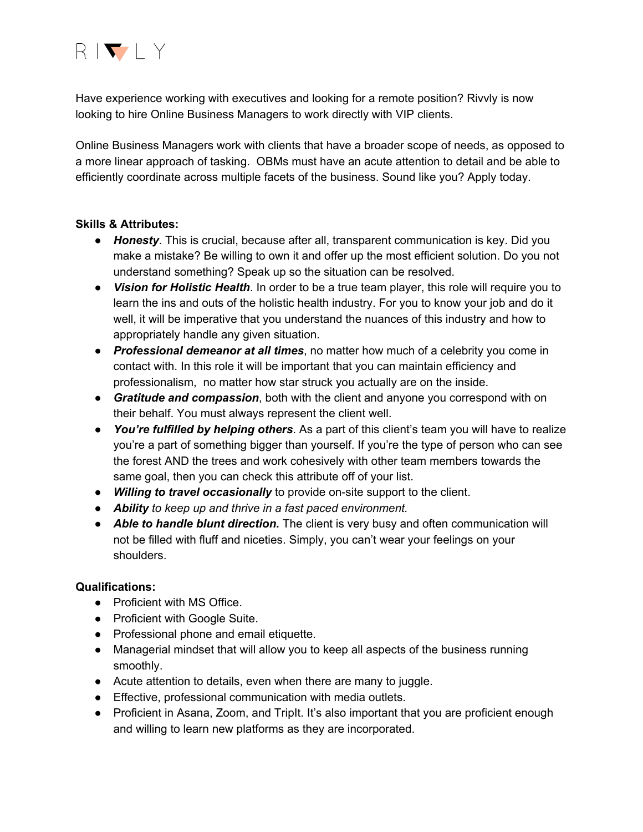

Have experience working with executives and looking for a remote position? Rivvly is now looking to hire Online Business Managers to work directly with VIP clients.

Online Business Managers work with clients that have a broader scope of needs, as opposed to a more linear approach of tasking. OBMs must have an acute attention to detail and be able to efficiently coordinate across multiple facets of the business. Sound like you? Apply today.

## **Skills & Attributes:**

- *Honesty*. This is crucial, because after all, transparent communication is key. Did you make a mistake? Be willing to own it and offer up the most efficient solution. Do you not understand something? Speak up so the situation can be resolved.
- *Vision for Holistic Health*. In order to be a true team player, this role will require you to learn the ins and outs of the holistic health industry. For you to know your job and do it well, it will be imperative that you understand the nuances of this industry and how to appropriately handle any given situation.
- *Professional demeanor at all times*, no matter how much of a celebrity you come in contact with. In this role it will be important that you can maintain efficiency and professionalism, no matter how star struck you actually are on the inside.
- *Gratitude and compassion*, both with the client and anyone you correspond with on their behalf. You must always represent the client well.
- *You're fulfilled by helping others*. As a part of this client's team you will have to realize you're a part of something bigger than yourself. If you're the type of person who can see the forest AND the trees and work cohesively with other team members towards the same goal, then you can check this attribute off of your list.
- *Willing to travel occasionally* to provide on-site support to the client.
- *Ability to keep up and thrive in a fast paced environment.*
- *Able to handle blunt direction.* The client is very busy and often communication will not be filled with fluff and niceties. Simply, you can't wear your feelings on your shoulders.

# **Qualifications:**

- Proficient with MS Office.
- Proficient with Google Suite.
- Professional phone and email etiquette.
- Managerial mindset that will allow you to keep all aspects of the business running smoothly.
- Acute attention to details, even when there are many to juggle.
- Effective, professional communication with media outlets.
- Proficient in Asana, Zoom, and TripIt. It's also important that you are proficient enough and willing to learn new platforms as they are incorporated.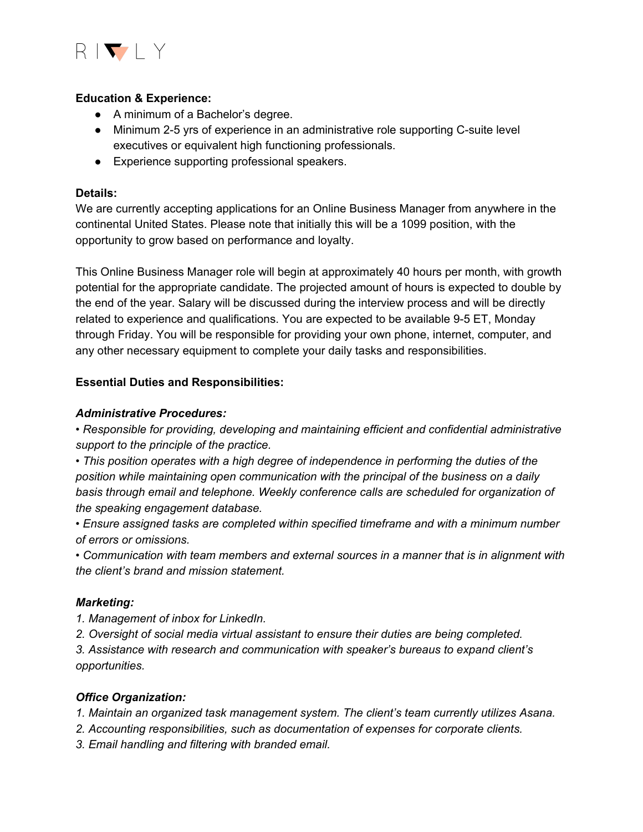

## **Education & Experience:**

- A minimum of a Bachelor's degree.
- Minimum 2-5 yrs of experience in an administrative role supporting C-suite level executives or equivalent high functioning professionals.
- Experience supporting professional speakers.

### **Details:**

We are currently accepting applications for an Online Business Manager from anywhere in the continental United States. Please note that initially this will be a 1099 position, with the opportunity to grow based on performance and loyalty.

This Online Business Manager role will begin at approximately 40 hours per month, with growth potential for the appropriate candidate. The projected amount of hours is expected to double by the end of the year. Salary will be discussed during the interview process and will be directly related to experience and qualifications. You are expected to be available 9-5 ET, Monday through Friday. You will be responsible for providing your own phone, internet, computer, and any other necessary equipment to complete your daily tasks and responsibilities.

#### **Essential Duties and Responsibilities:**

#### *Administrative Procedures:*

*• Responsible for providing, developing and maintaining efficient and confidential administrative support to the principle of the practice.*

*• This position operates with a high degree of independence in performing the duties of the position while maintaining open communication with the principal of the business on a daily basis through email and telephone. Weekly conference calls are scheduled for organization of the speaking engagement database.*

*• Ensure assigned tasks are completed within specified timeframe and with a minimum number of errors or omissions.*

*• Communication with team members and external sources in a manner that is in alignment with the client's brand and mission statement.*

## *Marketing:*

*1. Management of inbox for LinkedIn.*

*2. Oversight of social media virtual assistant to ensure their duties are being completed.*

*3. Assistance with research and communication with speaker's bureaus to expand client's opportunities.*

## *Office Organization:*

*1. Maintain an organized task management system. The client's team currently utilizes Asana.*

- *2. Accounting responsibilities, such as documentation of expenses for corporate clients.*
- *3. Email handling and filtering with branded email.*